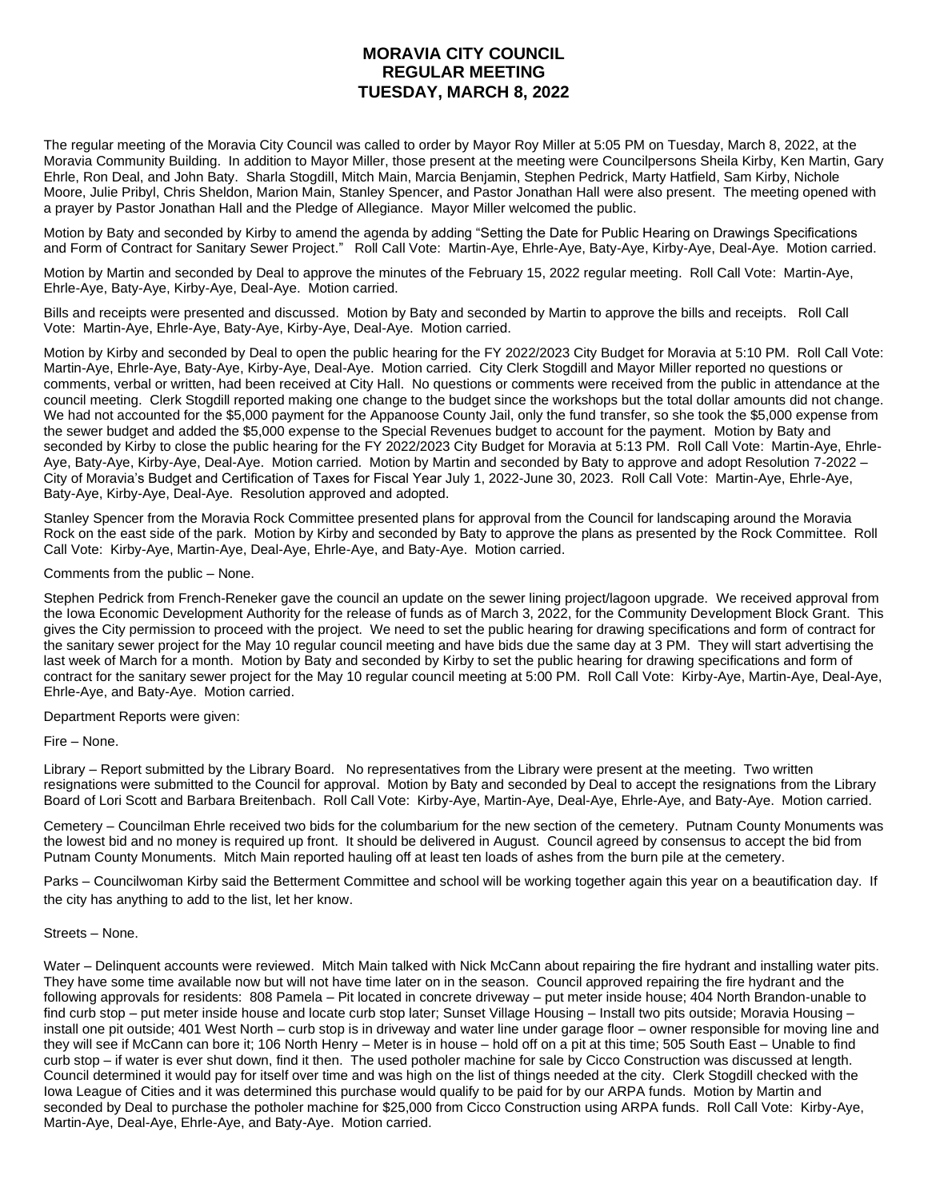## **MORAVIA CITY COUNCIL REGULAR MEETING TUESDAY, MARCH 8, 2022**

The regular meeting of the Moravia City Council was called to order by Mayor Roy Miller at 5:05 PM on Tuesday, March 8, 2022, at the Moravia Community Building. In addition to Mayor Miller, those present at the meeting were Councilpersons Sheila Kirby, Ken Martin, Gary Ehrle, Ron Deal, and John Baty. Sharla Stogdill, Mitch Main, Marcia Benjamin, Stephen Pedrick, Marty Hatfield, Sam Kirby, Nichole Moore, Julie Pribyl, Chris Sheldon, Marion Main, Stanley Spencer, and Pastor Jonathan Hall were also present. The meeting opened with a prayer by Pastor Jonathan Hall and the Pledge of Allegiance. Mayor Miller welcomed the public.

Motion by Baty and seconded by Kirby to amend the agenda by adding "Setting the Date for Public Hearing on Drawings Specifications and Form of Contract for Sanitary Sewer Project." Roll Call Vote: Martin-Aye, Ehrle-Aye, Baty-Aye, Kirby-Aye, Deal-Aye. Motion carried.

Motion by Martin and seconded by Deal to approve the minutes of the February 15, 2022 regular meeting. Roll Call Vote: Martin-Aye, Ehrle-Aye, Baty-Aye, Kirby-Aye, Deal-Aye. Motion carried.

Bills and receipts were presented and discussed. Motion by Baty and seconded by Martin to approve the bills and receipts. Roll Call Vote: Martin-Aye, Ehrle-Aye, Baty-Aye, Kirby-Aye, Deal-Aye. Motion carried.

Motion by Kirby and seconded by Deal to open the public hearing for the FY 2022/2023 City Budget for Moravia at 5:10 PM. Roll Call Vote: Martin-Aye, Ehrle-Aye, Baty-Aye, Kirby-Aye, Deal-Aye. Motion carried. City Clerk Stogdill and Mayor Miller reported no questions or comments, verbal or written, had been received at City Hall. No questions or comments were received from the public in attendance at the council meeting. Clerk Stogdill reported making one change to the budget since the workshops but the total dollar amounts did not change. We had not accounted for the \$5,000 payment for the Appanoose County Jail, only the fund transfer, so she took the \$5,000 expense from the sewer budget and added the \$5,000 expense to the Special Revenues budget to account for the payment. Motion by Baty and seconded by Kirby to close the public hearing for the FY 2022/2023 City Budget for Moravia at 5:13 PM. Roll Call Vote: Martin-Aye, Ehrle-Aye, Baty-Aye, Kirby-Aye, Deal-Aye. Motion carried. Motion by Martin and seconded by Baty to approve and adopt Resolution 7-2022 – City of Moravia's Budget and Certification of Taxes for Fiscal Year July 1, 2022-June 30, 2023. Roll Call Vote: Martin-Aye, Ehrle-Aye, Baty-Aye, Kirby-Aye, Deal-Aye. Resolution approved and adopted.

Stanley Spencer from the Moravia Rock Committee presented plans for approval from the Council for landscaping around the Moravia Rock on the east side of the park. Motion by Kirby and seconded by Baty to approve the plans as presented by the Rock Committee. Roll Call Vote: Kirby-Aye, Martin-Aye, Deal-Aye, Ehrle-Aye, and Baty-Aye. Motion carried.

Comments from the public – None.

Stephen Pedrick from French-Reneker gave the council an update on the sewer lining project/lagoon upgrade. We received approval from the Iowa Economic Development Authority for the release of funds as of March 3, 2022, for the Community Development Block Grant. This gives the City permission to proceed with the project. We need to set the public hearing for drawing specifications and form of contract for the sanitary sewer project for the May 10 regular council meeting and have bids due the same day at 3 PM. They will start advertising the last week of March for a month. Motion by Baty and seconded by Kirby to set the public hearing for drawing specifications and form of contract for the sanitary sewer project for the May 10 regular council meeting at 5:00 PM. Roll Call Vote: Kirby-Aye, Martin-Aye, Deal-Aye, Ehrle-Aye, and Baty-Aye. Motion carried.

Department Reports were given:

Fire – None.

Library – Report submitted by the Library Board. No representatives from the Library were present at the meeting. Two written resignations were submitted to the Council for approval. Motion by Baty and seconded by Deal to accept the resignations from the Library Board of Lori Scott and Barbara Breitenbach. Roll Call Vote: Kirby-Aye, Martin-Aye, Deal-Aye, Ehrle-Aye, and Baty-Aye. Motion carried.

Cemetery – Councilman Ehrle received two bids for the columbarium for the new section of the cemetery. Putnam County Monuments was the lowest bid and no money is required up front. It should be delivered in August. Council agreed by consensus to accept the bid from Putnam County Monuments. Mitch Main reported hauling off at least ten loads of ashes from the burn pile at the cemetery.

Parks – Councilwoman Kirby said the Betterment Committee and school will be working together again this year on a beautification day. If the city has anything to add to the list, let her know.

## Streets – None.

Water – Delinquent accounts were reviewed. Mitch Main talked with Nick McCann about repairing the fire hydrant and installing water pits. They have some time available now but will not have time later on in the season. Council approved repairing the fire hydrant and the following approvals for residents: 808 Pamela – Pit located in concrete driveway – put meter inside house; 404 North Brandon-unable to find curb stop – put meter inside house and locate curb stop later; Sunset Village Housing – Install two pits outside; Moravia Housing – install one pit outside; 401 West North – curb stop is in driveway and water line under garage floor – owner responsible for moving line and they will see if McCann can bore it; 106 North Henry – Meter is in house – hold off on a pit at this time; 505 South East – Unable to find curb stop – if water is ever shut down, find it then. The used potholer machine for sale by Cicco Construction was discussed at length. Council determined it would pay for itself over time and was high on the list of things needed at the city. Clerk Stogdill checked with the Iowa League of Cities and it was determined this purchase would qualify to be paid for by our ARPA funds. Motion by Martin and seconded by Deal to purchase the potholer machine for \$25,000 from Cicco Construction using ARPA funds. Roll Call Vote: Kirby-Aye, Martin-Aye, Deal-Aye, Ehrle-Aye, and Baty-Aye. Motion carried.